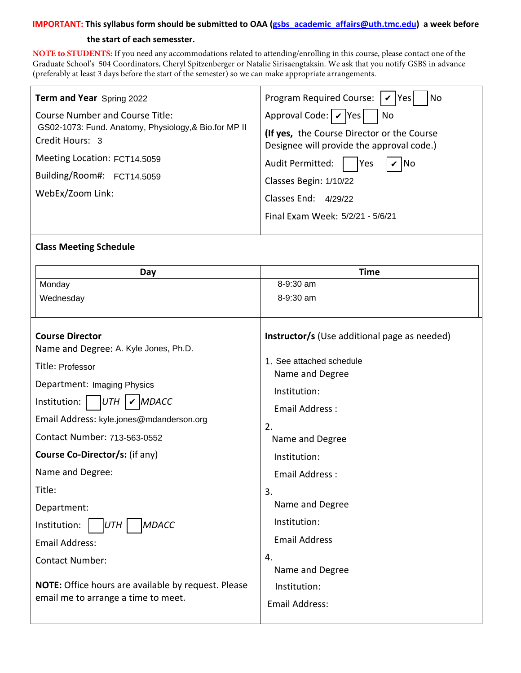#### **IMPORTANT: This syllabus form should be submitted to OAA (gsbs\_academic\_affairs@uth.tmc.edu) a week before**

#### **the start of each semesster.**

**NOTE to STUDENTS:** If you need any accommodations related to attending/enrolling in this course, please contact one of the Graduate School's 504 Coordinators, [Cheryl Spitzenberger](mailto:Cheryl.A.Spitzenberger@uth.tmc.edu) or [Natalie Sirisaengtaksin](mailto:Natalie.Sirisaengtaksin@uth.tmc.edu). We ask that you notify GSBS in advance (preferably at least 3 days before the start of the semester) so we can make appropriate arrangements.

| Term and Year Spring 2022                                                                                   | Program Required Course:   ✔   Yes <br> No                                                                                          |
|-------------------------------------------------------------------------------------------------------------|-------------------------------------------------------------------------------------------------------------------------------------|
| Course Number and Course Title:<br>GS02-1073: Fund. Anatomy, Physiology, & Bio.for MP II<br>Credit Hours: 3 | Approval Code: $\mathcal{V}$  Yes <br>No<br>(If yes, the Course Director or the Course<br>Designee will provide the approval code.) |
| Meeting Location: FCT14.5059<br>Building/Room#: FCT14.5059<br>WebEx/Zoom Link:                              | $\mathbf{v}$ No<br>Audit Permitted:<br>Yes<br>Classes Begin: 1/10/22<br>Classes End: 4/29/22<br>Final Exam Week: 5/2/21 - 5/6/21    |

## **Class Meeting Schedule**

| Day                                                                                                                                                                                                                            | <b>Time</b>                                                                                                                                            |
|--------------------------------------------------------------------------------------------------------------------------------------------------------------------------------------------------------------------------------|--------------------------------------------------------------------------------------------------------------------------------------------------------|
| Monday                                                                                                                                                                                                                         | 8-9:30 am                                                                                                                                              |
| Wednesday                                                                                                                                                                                                                      | 8-9:30 am                                                                                                                                              |
|                                                                                                                                                                                                                                |                                                                                                                                                        |
| <b>Course Director</b><br>Name and Degree: A. Kyle Jones, Ph.D.<br>Title: Professor<br>Department: Imaging Physics<br>Institution:<br>MDACC<br>UTH<br>Email Address: kyle.jones@mdanderson.org<br>Contact Number: 713-563-0552 | Instructor/s (Use additional page as needed)<br>1. See attached schedule<br>Name and Degree<br>Institution:<br>Email Address:<br>2.<br>Name and Degree |
| <b>Course Co-Director/s: (if any)</b>                                                                                                                                                                                          | Institution:                                                                                                                                           |
| Name and Degree:                                                                                                                                                                                                               | Email Address:                                                                                                                                         |
| Title:                                                                                                                                                                                                                         | 3.                                                                                                                                                     |
| Department:                                                                                                                                                                                                                    | Name and Degree                                                                                                                                        |
| <b>MDACC</b><br>Institution:<br>IUTH.                                                                                                                                                                                          | Institution:                                                                                                                                           |
| <b>Email Address:</b>                                                                                                                                                                                                          | <b>Email Address</b>                                                                                                                                   |
| <b>Contact Number:</b>                                                                                                                                                                                                         | 4.<br>Name and Degree                                                                                                                                  |
| NOTE: Office hours are available by request. Please<br>email me to arrange a time to meet.                                                                                                                                     | Institution:<br><b>Email Address:</b>                                                                                                                  |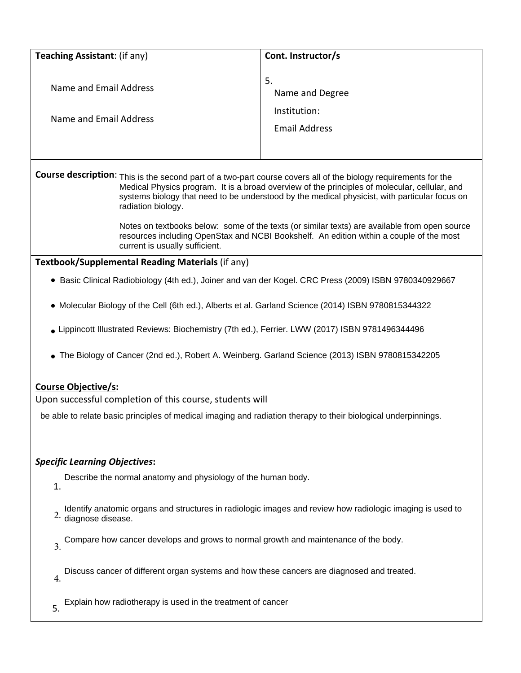| Teaching Assistant: (if any)                                                                                                                                                                                                                                                                                                                                                                                                                                                                                                                                          | Cont. Instructor/s                                            |  |
|-----------------------------------------------------------------------------------------------------------------------------------------------------------------------------------------------------------------------------------------------------------------------------------------------------------------------------------------------------------------------------------------------------------------------------------------------------------------------------------------------------------------------------------------------------------------------|---------------------------------------------------------------|--|
| Name and Email Address<br>Name and Email Address                                                                                                                                                                                                                                                                                                                                                                                                                                                                                                                      | 5.<br>Name and Degree<br>Institution:<br><b>Email Address</b> |  |
| Course description: This is the second part of a two-part course covers all of the biology requirements for the<br>Medical Physics program. It is a broad overview of the principles of molecular, cellular, and<br>systems biology that need to be understood by the medical physicist, with particular focus on<br>radiation biology.<br>Notes on textbooks below: some of the texts (or similar texts) are available from open source<br>resources including OpenStax and NCBI Bookshelf. An edition within a couple of the most<br>current is usually sufficient. |                                                               |  |
| Textbook/Supplemental Reading Materials (if any)                                                                                                                                                                                                                                                                                                                                                                                                                                                                                                                      |                                                               |  |
| • Basic Clinical Radiobiology (4th ed.), Joiner and van der Kogel. CRC Press (2009) ISBN 9780340929667                                                                                                                                                                                                                                                                                                                                                                                                                                                                |                                                               |  |
| • Molecular Biology of the Cell (6th ed.), Alberts et al. Garland Science (2014) ISBN 9780815344322<br>• Lippincott Illustrated Reviews: Biochemistry (7th ed.), Ferrier. LWW (2017) ISBN 9781496344496<br>The Biology of Cancer (2nd ed.), Robert A. Weinberg. Garland Science (2013) ISBN 9780815342205                                                                                                                                                                                                                                                             |                                                               |  |
| <b>Course Objective/s:</b><br>Upon successful completion of this course, students will<br>be able to relate basic principles of medical imaging and radiation therapy to their biological underpinnings.                                                                                                                                                                                                                                                                                                                                                              |                                                               |  |
| <b>Specific Learning Objectives:</b><br>Describe the normal anatomy and physiology of the human body.<br>$\mathbf{1}$                                                                                                                                                                                                                                                                                                                                                                                                                                                 |                                                               |  |
| Identify anatomic organs and structures in radiologic images and review how radiologic imaging is used to<br>$2.$ diagnose disease.                                                                                                                                                                                                                                                                                                                                                                                                                                   |                                                               |  |
| Compare how cancer develops and grows to normal growth and maintenance of the body.<br>$\overline{3}$ .                                                                                                                                                                                                                                                                                                                                                                                                                                                               |                                                               |  |
| Discuss cancer of different organ systems and how these cancers are diagnosed and treated.<br>$\overline{4}$ .                                                                                                                                                                                                                                                                                                                                                                                                                                                        |                                                               |  |
| Explain how radiotherapy is used in the treatment of cancer<br>5.                                                                                                                                                                                                                                                                                                                                                                                                                                                                                                     |                                                               |  |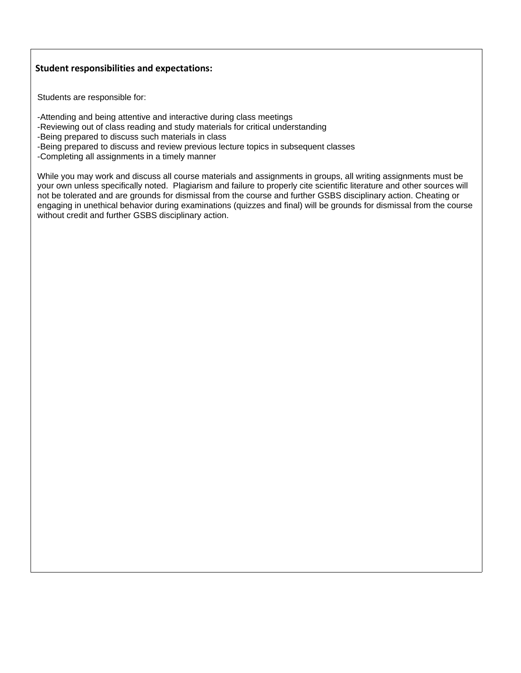## **Student responsibilities and expectations:**

Students are responsible for:

-Attending and being attentive and interactive during class meetings

-Reviewing out of class reading and study materials for critical understanding

-Being prepared to discuss such materials in class

- -Being prepared to discuss and review previous lecture topics in subsequent classes
- -Completing all assignments in a timely manner

While you may work and discuss all course materials and assignments in groups, all writing assignments must be your own unless specifically noted. Plagiarism and failure to properly cite scientific literature and other sources will not be tolerated and are grounds for dismissal from the course and further GSBS disciplinary action. Cheating or engaging in unethical behavior during examinations (quizzes and final) will be grounds for dismissal from the course without credit and further GSBS disciplinary action.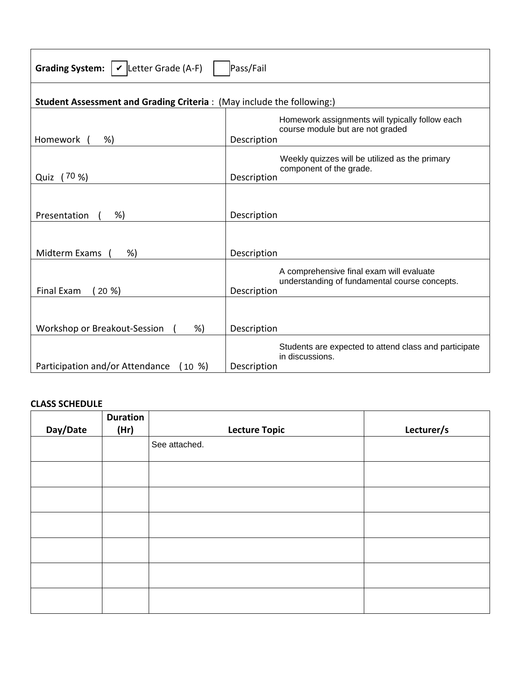| Grading System: $\mathcal{V}$ Letter Grade (A-F)<br>Pass/Fail         |                                                                                                          |  |
|-----------------------------------------------------------------------|----------------------------------------------------------------------------------------------------------|--|
| Student Assessment and Grading Criteria: (May include the following:) |                                                                                                          |  |
| Homework<br>%)                                                        | Homework assignments will typically follow each<br>course module but are not graded<br>Description       |  |
| (70%<br>Quiz                                                          | Weekly quizzes will be utilized as the primary<br>component of the grade.<br>Description                 |  |
| %)<br>Presentation                                                    | Description                                                                                              |  |
| Midterm Exams<br>%                                                    | Description                                                                                              |  |
| Final Exam<br>(20 %)                                                  | A comprehensive final exam will evaluate<br>understanding of fundamental course concepts.<br>Description |  |
| Workshop or Breakout-Session<br>%)                                    | Description                                                                                              |  |
| Participation and/or Attendance<br>(10 %)                             | Students are expected to attend class and participate<br>in discussions.<br>Description                  |  |

# **CLASS SCHEDULE**

|          | <b>Duration</b> |                      |            |
|----------|-----------------|----------------------|------------|
| Day/Date | (Hr)            | <b>Lecture Topic</b> | Lecturer/s |
|          |                 | See attached.        |            |
|          |                 |                      |            |
|          |                 |                      |            |
|          |                 |                      |            |
|          |                 |                      |            |
|          |                 |                      |            |
|          |                 |                      |            |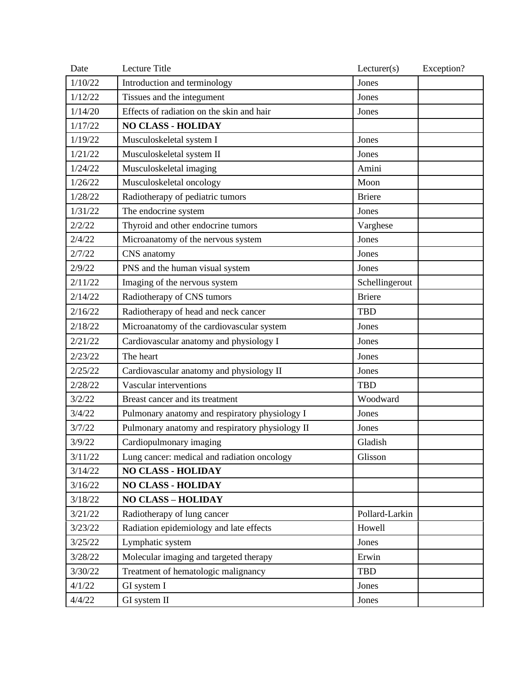| Date    | Lecture Title                                   | Lecturer(s)    | Exception? |
|---------|-------------------------------------------------|----------------|------------|
| 1/10/22 | Introduction and terminology                    | Jones          |            |
| 1/12/22 | Tissues and the integument                      | Jones          |            |
| 1/14/20 | Effects of radiation on the skin and hair       | Jones          |            |
| 1/17/22 | <b>NO CLASS - HOLIDAY</b>                       |                |            |
| 1/19/22 | Musculoskeletal system I                        | Jones          |            |
| 1/21/22 | Musculoskeletal system II                       | Jones          |            |
| 1/24/22 | Musculoskeletal imaging                         | Amini          |            |
| 1/26/22 | Musculoskeletal oncology                        | Moon           |            |
| 1/28/22 | Radiotherapy of pediatric tumors                | <b>Briere</b>  |            |
| 1/31/22 | The endocrine system                            | Jones          |            |
| 2/2/22  | Thyroid and other endocrine tumors              | Varghese       |            |
| 2/4/22  | Microanatomy of the nervous system              | Jones          |            |
| 2/7/22  | CNS anatomy                                     | Jones          |            |
| 2/9/22  | PNS and the human visual system                 | Jones          |            |
| 2/11/22 | Imaging of the nervous system                   | Schellingerout |            |
| 2/14/22 | Radiotherapy of CNS tumors                      | <b>Briere</b>  |            |
| 2/16/22 | Radiotherapy of head and neck cancer            | <b>TBD</b>     |            |
| 2/18/22 | Microanatomy of the cardiovascular system       | Jones          |            |
| 2/21/22 | Cardiovascular anatomy and physiology I         | Jones          |            |
| 2/23/22 | The heart                                       | Jones          |            |
| 2/25/22 | Cardiovascular anatomy and physiology II        | Jones          |            |
| 2/28/22 | Vascular interventions                          | <b>TBD</b>     |            |
| 3/2/22  | Breast cancer and its treatment                 | Woodward       |            |
| 3/4/22  | Pulmonary anatomy and respiratory physiology I  | Jones          |            |
| 3/7/22  | Pulmonary anatomy and respiratory physiology II | Jones          |            |
| 3/9/22  | Cardiopulmonary imaging                         | Gladish        |            |
| 3/11/22 | Lung cancer: medical and radiation oncology     | Glisson        |            |
| 3/14/22 | <b>NO CLASS - HOLIDAY</b>                       |                |            |
| 3/16/22 | <b>NO CLASS - HOLIDAY</b>                       |                |            |
| 3/18/22 | <b>NO CLASS - HOLIDAY</b>                       |                |            |
| 3/21/22 | Radiotherapy of lung cancer                     | Pollard-Larkin |            |
| 3/23/22 | Radiation epidemiology and late effects         | Howell         |            |
| 3/25/22 | Lymphatic system                                | Jones          |            |
| 3/28/22 | Molecular imaging and targeted therapy          | Erwin          |            |
| 3/30/22 | Treatment of hematologic malignancy             | <b>TBD</b>     |            |
| 4/1/22  | GI system I                                     | Jones          |            |
| 4/4/22  | GI system II                                    | Jones          |            |